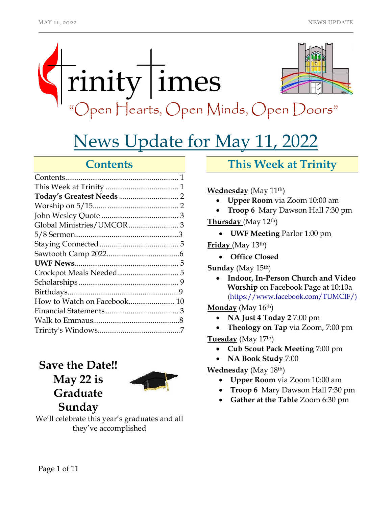

# News Update for May 11, 2022

### <span id="page-0-0"></span>**Contents**

| How to Watch on Facebook 10 |  |
|-----------------------------|--|
|                             |  |
|                             |  |
|                             |  |
|                             |  |

## **Save the Date!! May 22 is Graduate Sunday**



We'll celebrate this year's graduates and all they've accomplished

### <span id="page-0-1"></span>**This Week at Trinity**

**Wednesday** (May 11th)

- **Upper Room** via Zoom 10:00 am
- **Troop 6** Mary Dawson Hall 7:30 pm

**Thursday** (May 12th)

**UWF Meeting** Parlor 1:00 pm

**Friday** (May 13th)

**Office Closed**

**Sunday** (May 15th)

 **Indoor, In-Person Church and Video Worship** on Facebook Page at 10:10a [\(https://www.facebook.com/TUMCIF/\)](https://www.facebook.com/TUMCIF/)

**Monday** (May 16th)

- **NA Just 4 Today 2** 7:00 pm
- **Theology on Tap** via Zoom, 7:00 pm

**Tuesday** (May 17th)

- **Cub Scout Pack Meeting** 7:00 pm
- **NA Book Study** 7:00

**Wednesday** (May 18th)

- **Upper Room** via Zoom 10:00 am
- **Troop 6** Mary Dawson Hall 7:30 pm
- **Gather at the Table** Zoom 6:30 pm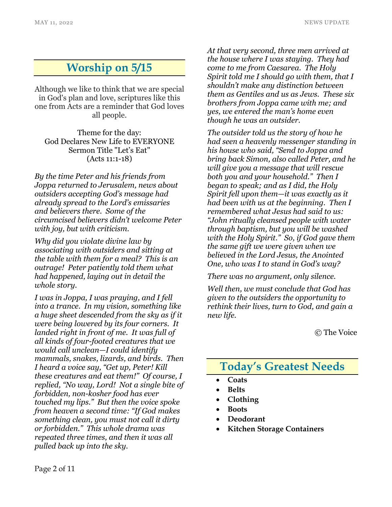# **Worship on 5/15**

<span id="page-1-1"></span>Although we like to think that we are special in God's plan and love, scriptures like this one from Acts are a reminder that God loves all people.

Theme for the day: God Declares New Life to EVERYONE Sermon Title "Let's Eat" (Acts 11:1-18)

*By the time Peter and his friends from Joppa returned to Jerusalem, news about outsiders accepting God's message had already spread to the Lord's emissaries and believers there. Some of the circumcised believers didn't welcome Peter with joy, but with criticism.*

*Why did you violate divine law by associating with outsiders and sitting at the table with them for a meal? This is an outrage! Peter patiently told them what had happened, laying out in detail the whole story.*

*I was in Joppa, I was praying, and I fell into a trance. In my vision, something like a huge sheet descended from the sky as if it were being lowered by its four corners. It landed right in front of me. It was full of all kinds of four-footed creatures that we would call unclean—I could identify mammals, snakes, lizards, and birds. Then I heard a voice say, "Get up, Peter! Kill these creatures and eat them!" Of course, I replied, "No way, Lord! Not a single bite of forbidden, non-kosher food has ever touched my lips." But then the voice spoke from heaven a second time: "If God makes something clean, you must not call it dirty or forbidden." This whole drama was repeated three times, and then it was all pulled back up into the sky.*

*At that very second, three men arrived at the house where I was staying. They had come to me from Caesarea. The Holy Spirit told me I should go with them, that I shouldn't make any distinction between them as Gentiles and us as Jews. These six brothers from Joppa came with me; and yes, we entered the man's home even though he was an outsider.*

*The outsider told us the story of how he had seen a heavenly messenger standing in his house who said, "Send to Joppa and bring back Simon, also called Peter, and he will give you a message that will rescue both you and your household." Then I began to speak; and as I did, the Holy Spirit fell upon them—it was exactly as it had been with us at the beginning. Then I remembered what Jesus had said to us: "John ritually cleansed people with water through baptism, but you will be washed with the Holy Spirit." So, if God gave them the same gift we were given when we believed in the Lord Jesus, the Anointed One, who was I to stand in God's way?*

*There was no argument, only silence.*

*Well then, we must conclude that God has given to the outsiders the opportunity to rethink their lives, turn to God, and gain a new life.*

© The Voice

### <span id="page-1-0"></span>**Today's Greatest Needs**

- **Coats**
- **Belts**
- **Clothing**
- **Boots**
- **Deodorant**
- **Kitchen Storage Containers**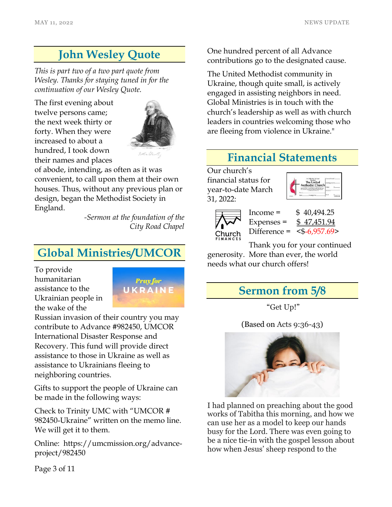### **John Wesley Quote**

<span id="page-2-0"></span>*This is part two of a two part quote from Wesley. Thanks for staying tuned in for the continuation of our Wesley Quote.*

The first evening about twelve persons came; the next week thirty or forty. When they were increased to about a hundred, I took down their names and places



of abode, intending, as often as it was convenient, to call upon them at their own houses. Thus, without any previous plan or design, began the Methodist Society in England.

> *-Sermon at the foundation of the City Road Chapel*

# <span id="page-2-1"></span>**Global Ministries/UMCOR**

To provide humanitarian assistance to the Ukrainian people in the wake of the



Russian invasion of their country you may contribute to Advance #982450, UMCOR International Disaster Response and Recovery. This fund will provide direct assistance to those in Ukraine as well as assistance to Ukrainians fleeing to neighboring countries.

Gifts to support the people of Ukraine can be made in the following ways:

Check to Trinity UMC with "UMCOR # 982450-Ukraine" written on the memo line. We will get it to them.

Online: https://umcmission.org/advanceproject/982450

One hundred percent of all Advance contributions go to the designated cause.

The United Methodist community in Ukraine, though quite small, is actively engaged in assisting neighbors in need. Global Ministries is in touch with the church's leadership as well as with church leaders in countries welcoming those who are fleeing from violence in Ukraine."

### <span id="page-2-2"></span>**Financial Statements**

Our church's financial status for year-to-date March 31, 2022:





 $Income =$  \$ 40.494.25 Expenses =  $$47,451.94$ Difference =  $\leq$  -6,957.69>

Thank you for your continued generosity. More than ever, the world needs what our church offers!

# **Sermon from 5/8**

"Get Up!"

(Based on Acts 9:36-43)



I had planned on preaching about the good works of Tabitha this morning, and how we can use her as a model to keep our hands busy for the Lord. There was even going to be a nice tie-in with the gospel lesson about how when Jesus' sheep respond to the

Page 3 of 11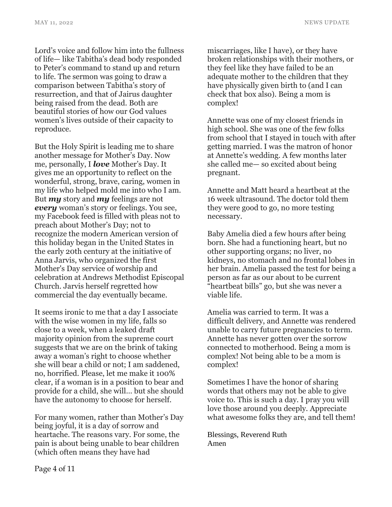Lord's voice and follow him into the fullness of life— like Tabitha's dead body responded to Peter's command to stand up and return to life. The sermon was going to draw a comparison between Tabitha's story of resurrection, and that of Jairus daughter being raised from the dead. Both are beautiful stories of how our God values women's lives outside of their capacity to reproduce.

But the Holy Spirit is leading me to share another message for Mother's Day. Now me, personally, I *love* Mother's Day. It gives me an opportunity to reflect on the wonderful, strong, brave, caring, women in my life who helped mold me into who I am. But *my* story and *my* feelings are not *every* woman's story or feelings. You see, my Facebook feed is filled with pleas not to preach about Mother's Day; not to recognize the modern American version of this holiday began in the United States in the early 20th century at the initiative of Anna Jarvis, who organized the first Mother's Day service of worship and celebration at Andrews Methodist Episcopal Church. Jarvis herself regretted how commercial the day eventually became.

It seems ironic to me that a day I associate with the wise women in my life, falls so close to a week, when a leaked draft majority opinion from the supreme court suggests that we are on the brink of taking away a woman's right to choose whether she will bear a child or not; I am saddened, no, horrified. Please, let me make it 100% clear, if a woman is in a position to bear and provide for a child, she will… but she should have the autonomy to choose for herself.

For many women, rather than Mother's Day being joyful, it is a day of sorrow and heartache. The reasons vary. For some, the pain is about being unable to bear children (which often means they have had

miscarriages, like I have), or they have broken relationships with their mothers, or they feel like they have failed to be an adequate mother to the children that they have physically given birth to (and I can check that box also). Being a mom is complex!

Annette was one of my closest friends in high school. She was one of the few folks from school that I stayed in touch with after getting married. I was the matron of honor at Annette's wedding. A few months later she called me— so excited about being pregnant.

Annette and Matt heard a heartbeat at the 16 week ultrasound. The doctor told them they were good to go, no more testing necessary.

Baby Amelia died a few hours after being born. She had a functioning heart, but no other supporting organs; no liver, no kidneys, no stomach and no frontal lobes in her brain. Amelia passed the test for being a person as far as our about to be current "heartbeat bills" go, but she was never a viable life.

Amelia was carried to term. It was a difficult delivery, and Annette was rendered unable to carry future pregnancies to term. Annette has never gotten over the sorrow connected to motherhood. Being a mom is complex! Not being able to be a mom is complex!

Sometimes I have the honor of sharing words that others may not be able to give voice to. This is such a day. I pray you will love those around you deeply. Appreciate what awesome folks they are, and tell them!

Blessings, Reverend Ruth Amen

Page 4 of 11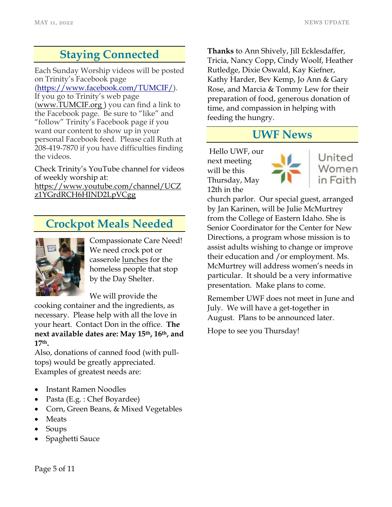# **Staying Connected**

<span id="page-4-0"></span>Each Sunday Worship videos will be posted on Trinity's Facebook page [\(https://www.facebook.com/TUMCIF/\)](https://www.facebook.com/TUMCIF/). If you go to Trinity's web page [\(www.TUMCIF.org](http://www.tumcif.org/)) you can find a link to the Facebook page. Be sure to "like" and "follow" Trinity's Facebook page if you want our content to show up in your personal Facebook feed. Please call Ruth at 208-419-7870 if you have difficulties finding the videos.

Check Trinity's YouTube channel for videos of weekly worship at: [https://www.youtube.com/channel/UCZ](https://www.youtube.com/channel/UCZz1YGrdRCH6HIND2LpVCgg)

[z1YGrdRCH6HIND2LpVCgg](https://www.youtube.com/channel/UCZz1YGrdRCH6HIND2LpVCgg)

# **Crockpot Meals Needed**



Compassionate Care Need! We need crock pot or casserole lunches for the homeless people that stop by the Day Shelter.

We will provide the

cooking container and the ingredients, as necessary. Please help with all the love in your heart. Contact Don in the office. **The next available dates are: May 15th, 16th, and 17th.**

Also, donations of canned food (with pulltops) would be greatly appreciated. Examples of greatest needs are:

- Instant Ramen Noodles
- Pasta (E.g. : Chef Boyardee)
- Corn, Green Beans, & Mixed Vegetables
- Meats
- Soups
- Spaghetti Sauce

**Thanks** to Ann Shively, Jill Ecklesdaffer, Tricia, Nancy Copp, Cindy Woolf, Heather Rutledge, Dixie Oswald, Kay Kiefner, Kathy Harder, Bev Kemp, Jo Ann & Gary Rose, and Marcia & Tommy Lew for their preparation of food, generous donation of time, and compassion in helping with feeding the hungry.

### **UWF News**

Hello UWF, our next meeting will be this Thursday, May 12th in the



United Women

church parlor. Our special guest, arranged by Jan Karinen, will be Julie McMurtrey from the College of Eastern Idaho. She is Senior Coordinator for the Center for New Directions, a program whose mission is to assist adults wishing to change or improve their education and /or employment. Ms. McMurtrey will address women's needs in particular. It should be a very informative presentation. Make plans to come.

Remember UWF does not meet in June and July. We will have a get-together in August. Plans to be announced later.

Hope to see you Thursday!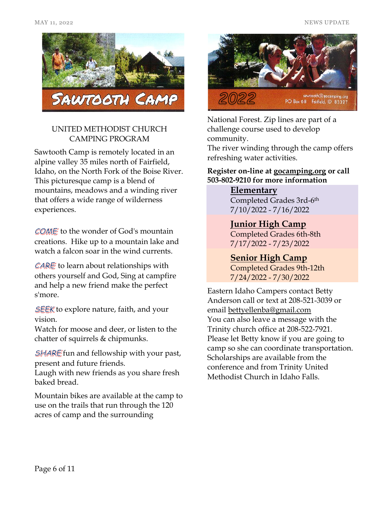

#### UNITED METHODIST CHURCH CAMPING PROGRAM

Sawtooth Camp is remotely located in an alpine valley 35 miles north of Fairfield, Idaho, on the North Fork of the Boise River. This picturesque camp is a blend of mountains, meadows and a winding river that offers a wide range of wilderness experiences.

 $COME$  to the wonder of God's mountain creations. Hike up to a mountain lake and watch a falcon soar in the wind currents.

 $CARE$  to learn about relationships with others yourself and God, Sing at campfire and help a new friend make the perfect s'more.

 $SEEK$  to explore nature, faith, and your vision.

Watch for moose and deer, or listen to the chatter of squirrels & chipmunks.

 $\mathcal{S}$ HARE fun and fellowship with your past, present and future friends.

Laugh with new friends as you share fresh baked bread.

Mountain bikes are available at the camp to use on the trails that run through the 120 acres of camp and the surrounding



National Forest. Zip lines are part of a challenge course used to develop community.

The river winding through the camp offers refreshing water activities.

#### **Register on-line at [gocamping.org](https://www.gocamping.org/) or call 503-802-9210 for more information**

**Elementary**

Completed Grades 3rd-6th 7/10/2022 - 7/16/2022

### **Junior High Camp**

Completed Grades 6th-8th 7/17/2022 - 7/23/2022

#### **Senior High Camp** Completed Grades 9th-12th

7/24/2022 - 7/30/2022

Eastern Idaho Campers contact Betty Anderson call or text at 208-521-3039 or email [bettyellenba@gmail.com](mailto:bettyellenba@gmail.com) You can also leave a message with the Trinity church office at 208-522-7921. Please let Betty know if you are going to camp so she can coordinate transportation. Scholarships are available from the conference and from Trinity United Methodist Church in Idaho Falls.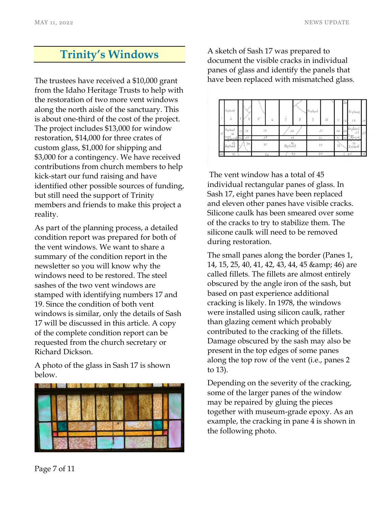### **Trinity's Windows**

The trustees have received a \$10,000 grant from the Idaho Heritage Trusts to help with the restoration of two more vent windows along the north aisle of the sanctuary. This is about one-third of the cost of the project. The project includes \$13,000 for window restoration, \$14,000 for three crates of custom glass, \$1,000 for shipping and \$3,000 for a contingency. We have received contributions from church members to help kick-start our fund raising and have identified other possible sources of funding, but still need the support of Trinity members and friends to make this project a reality.

As part of the planning process, a detailed condition report was prepared for both of the vent windows. We want to share a summary of the condition report in the newsletter so you will know why the windows need to be restored. The steel sashes of the two vent windows are stamped with identifying numbers 17 and 19. Since the condition of both vent windows is similar, only the details of Sash 17 will be discussed in this article. A copy of the complete condition report can be requested from the church secretary or Richard Dickson.

A photo of the glass in Sash 17 is shown below.



A sketch of Sash 17 was prepared to document the visible cracks in individual panes of glass and identify the panels that have been replaced with mismatched glass.

|    | Replaced |  |    |    | ls |          | 8 | Replaced | $\overline{10}$ | 11 | z              | $Re \, placed$<br>13  | 14 |
|----|----------|--|----|----|----|----------|---|----------|-----------------|----|----------------|-----------------------|----|
|    | Replaced |  | 18 |    |    | 20       |   |          |                 | 22 |                | Replaces              | 25 |
| 15 | 26       |  | 27 |    |    |          |   |          |                 | 31 | $\overline{c}$ | <b><i>REMEVEL</i></b> |    |
|    | Keolacei |  | 34 | 35 |    | Replaced |   | 37       |                 | 38 |                | Replaced              |    |
|    |          |  |    |    |    | 4.1      |   | 44       |                 | 45 |                |                       | 46 |

The vent window has a total of 45 individual rectangular panes of glass. In Sash 17, eight panes have been replaced and eleven other panes have visible cracks. Silicone caulk has been smeared over some of the cracks to try to stabilize them. The silicone caulk will need to be removed during restoration.

The small panes along the border (Panes 1, 14, 15, 25, 40, 41, 42, 43, 44, 45 & amp; 46) are called fillets. The fillets are almost entirely obscured by the angle iron of the sash, but based on past experience additional cracking is likely. In 1978, the windows were installed using silicon caulk, rather than glazing cement which probably contributed to the cracking of the fillets. Damage obscured by the sash may also be present in the top edges of some panes along the top row of the vent (i.e., panes 2 to 13).

Depending on the severity of the cracking, some of the larger panes of the window may be repaired by gluing the pieces together with museum-grade epoxy. As an example, the cracking in pane 4 is shown in the following photo.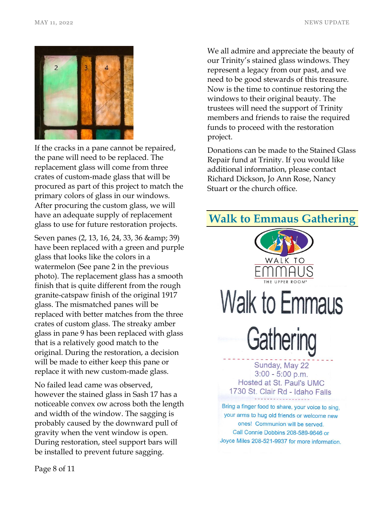

If the cracks in a pane cannot be repaired, the pane will need to be replaced. The replacement glass will come from three crates of custom-made glass that will be procured as part of this project to match the primary colors of glass in our windows. After procuring the custom glass, we will have an adequate supply of replacement glass to use for future restoration projects.

Seven panes (2, 13, 16, 24, 33, 36 & amp; 39) have been replaced with a green and purple glass that looks like the colors in a watermelon (See pane 2 in the previous photo). The replacement glass has a smooth finish that is quite different from the rough granite-catspaw finish of the original 1917 glass. The mismatched panes will be replaced with better matches from the three crates of custom glass. The streaky amber glass in pane 9 has been replaced with glass that is a relatively good match to the original. During the restoration, a decision will be made to either keep this pane or replace it with new custom-made glass.

No failed lead came was observed, however the stained glass in Sash 17 has a noticeable convex ow across both the length and width of the window. The sagging is probably caused by the downward pull of gravity when the vent window is open. During restoration, steel support bars will be installed to prevent future sagging.

We all admire and appreciate the beauty of our Trinity's stained glass windows. They represent a legacy from our past, and we need to be good stewards of this treasure. Now is the time to continue restoring the windows to their original beauty. The trustees will need the support of Trinity members and friends to raise the required funds to proceed with the restoration project.

Donations can be made to the Stained Glass Repair fund at Trinity. If you would like additional information, please contact Richard Dickson, Jo Ann Rose, Nancy Stuart or the church office.

### **Walk to Emmaus Gathering**



Page 8 of 11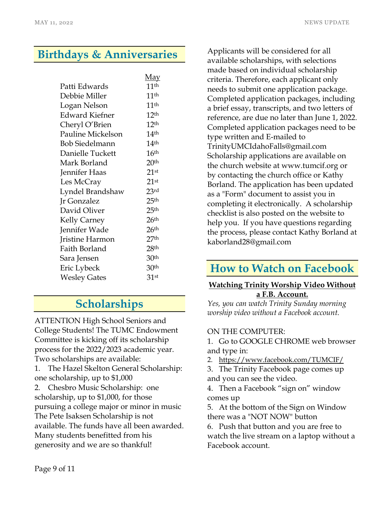### **Birthdays & Anniversaries**

|                          | <u>May</u>       |
|--------------------------|------------------|
| Patti Edwards            | 11 <sup>th</sup> |
| Debbie Miller            | 11 <sup>th</sup> |
| Logan Nelson             | 11 <sup>th</sup> |
| Edward Kiefner           | 12 <sup>th</sup> |
| Cheryl O'Brien           | 12 <sup>th</sup> |
| <b>Pauline Mickelson</b> | 14 <sup>th</sup> |
| <b>Bob Siedelmann</b>    | 14 <sup>th</sup> |
| Danielle Tuckett         | 16 <sup>th</sup> |
| Mark Borland             | 20 <sup>th</sup> |
| Jennifer Haas            | $21$ st          |
| Les McCray               | $21$ st          |
| Lyndel Brandshaw         | 23rd             |
| Jr Gonzalez              | 25 <sup>th</sup> |
| David Oliver             | 25 <sup>th</sup> |
| <b>Kelly Carney</b>      | 26 <sup>th</sup> |
| Jennifer Wade            | 26 <sup>th</sup> |
| <b>Iristine Harmon</b>   | 27 <sup>th</sup> |
| Faith Borland            | 28 <sup>th</sup> |
| Sara Jensen              | 30 <sup>th</sup> |
| Eric Lybeck              | 30 <sup>th</sup> |
| <b>Wesley Gates</b>      | $31$ st          |

### **Scholarships**

<span id="page-8-0"></span>ATTENTION High School Seniors and College Students! The TUMC Endowment Committee is kicking off its scholarship process for the 2022/2023 academic year. Two scholarships are available: 1. The Hazel Skelton General Scholarship: one scholarship, up to \$1,000 2. Chesbro Music Scholarship: one scholarship, up to \$1,000, for those pursuing a college major or minor in music The Pete Isaksen Scholarship is not available. The funds have all been awarded. Many students benefitted from his generosity and we are so thankful!

Applicants will be considered for all available scholarships, with selections made based on individual scholarship criteria. Therefore, each applicant only needs to submit one application package. Completed application packages, including a brief essay, transcripts, and two letters of reference, are due no later than June 1, 2022. Completed application packages need to be type written and E-mailed to TrinityUMCIdahoFalls@gmail.com Scholarship applications are available on the church website at www.tumcif.org or by contacting the church office or Kathy Borland. The application has been updated as a "Form" document to assist you in completing it electronically. A scholarship checklist is also posted on the website to help you. If you have questions regarding the process, please contact Kathy Borland at kaborland28@gmail.com

### <span id="page-8-1"></span>**How to Watch on Facebook**

#### **Watching Trinity Worship Video Without a F.B. Account.**

*Yes, you can watch Trinity Sunday morning worship video without a Facebook account.*

#### ON THE COMPUTER:

1. Go to GOOGLE CHROME web browser and type in:

2. <https://www.facebook.com/TUMCIF/>

3. The Trinity Facebook page comes up and you can see the video.

4. Then a Facebook "sign on" window comes up

5. At the bottom of the Sign on Window there was a "NOT NOW" button

6. Push that button and you are free to watch the live stream on a laptop without a Facebook account.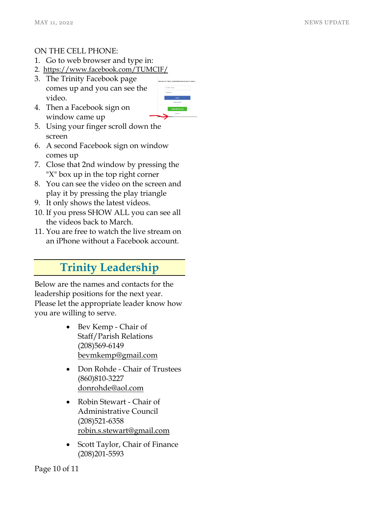#### ON THE CELL PHONE:

- 1. Go to web browser and type in:
- 2. <https://www.facebook.com/TUMCIF/>
- 3. The Trinity Facebook page comes up and you can see the video.
- 4. Then a Facebook sign on window came up
- 5. Using your finger scroll down the screen
- 6. A second Facebook sign on window comes up
- 7. Close that 2nd window by pressing the "X" box up in the top right corner
- 8. You can see the video on the screen and play it by pressing the play triangle
- 9. It only shows the latest videos.
- 10. If you press SHOW ALL you can see all the videos back to March.
- 11. You are free to watch the live stream on an iPhone without a Facebook account.

# **Trinity Leadership**

Below are the names and contacts for the leadership positions for the next year. Please let the appropriate leader know how you are willing to serve.

- Bev Kemp Chair of Staff/Parish Relations (208)569 -6149 [bevmkemp@gmail.com](mailto:bevkemp@gmail.com)
- Do n Rohde Chair of Trustees (860)810 -3227 [donrohde@aol.com](mailto:donrohde@aol.com)
- Robin Stewart Chair of Administrative Council (208)521 -6358 [robin.s.stewart@gmail.com](mailto:robin.s.stewart@gmail.com)
- Scott Taylor, Chair of Finance (208)201 -5593